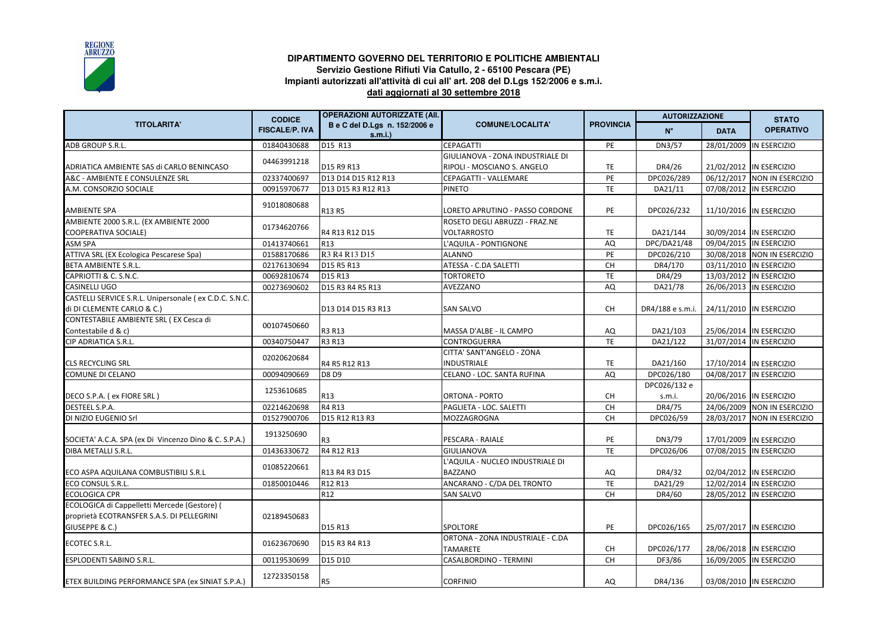

## **DIPARTIMENTO GOVERNO DEL TERRITORIO E POLITICHE AMBIENTALIServizio Gestione Rifiuti Via Catullo, 2 - 65100 Pescara (PE) Impianti autorizzati all'attività di cui all' art. 208 del D.Lgs 152/2006 e s.m.i. dati aggiornati al 30 settembre 2018**

| <b>TITOLARITA'</b>                                                                         | <b>CODICE</b><br><b>FISCALE/P. IVA</b> | <b>OPERAZIONI AUTORIZZATE (AII.</b>     |                                                      | <b>PROVINCIA</b> | <b>AUTORIZZAZIONE</b>  |             | <b>STATO</b>                |
|--------------------------------------------------------------------------------------------|----------------------------------------|-----------------------------------------|------------------------------------------------------|------------------|------------------------|-------------|-----------------------------|
|                                                                                            |                                        | B e C del D.Lgs n. 152/2006 e<br>s.m.i. | <b>COMUNE/LOCALITA'</b>                              |                  | $N^{\circ}$            | <b>DATA</b> | <b>OPERATIVO</b>            |
| ADB GROUP S.R.L.                                                                           | 01840430688                            | D15 R13                                 | <b>CEPAGATTI</b>                                     | PE               | DN3/57                 | 28/01/2009  | IN ESERCIZIO                |
|                                                                                            | 04463991218                            |                                         | GIULIANOVA - ZONA INDUSTRIALE DI                     |                  |                        |             |                             |
| ADRIATICA AMBIENTE SAS di CARLO BENINCASO                                                  |                                        | D15 R9 R13                              | RIPOLI - MOSCIANO S. ANGELO                          | TE               | DR4/26                 |             | 21/02/2012  IN ESERCIZIO    |
| A&C - AMBIENTE E CONSULENZE SRL                                                            | 02337400697                            | D13 D14 D15 R12 R13                     | CEPAGATTI - VALLEMARE                                | PE               | DPC026/289             |             | 06/12/2017 NON IN ESERCIZIO |
| A.M. CONSORZIO SOCIALE                                                                     | 00915970677                            | D13 D15 R3 R12 R13                      | <b>PINETO</b>                                        | <b>TE</b>        | DA21/11                |             | 07/08/2012 IN ESERCIZIO     |
| <b>AMBIENTE SPA</b>                                                                        | 91018080688                            | R13 R5                                  | LORETO APRUTINO - PASSO CORDONE                      | PE               | DPC026/232             |             | 11/10/2016  IN ESERCIZIO    |
| AMBIENTE 2000 S.R.L. (EX AMBIENTE 2000<br><b>COOPERATIVA SOCIALE)</b>                      | 01734620766                            | R4 R13 R12 D15                          | ROSETO DEGLI ABRUZZI - FRAZ.NE<br><b>VOLTARROSTO</b> | <b>TE</b>        | DA21/144               |             | 30/09/2014  IN ESERCIZIO    |
| <b>ASM SPA</b>                                                                             | 01413740661                            | R <sub>13</sub>                         | L'AQUILA - PONTIGNONE                                | AQ               | DPC/DA21/48            |             | 09/04/2015 IN ESERCIZIO     |
| ATTIVA SRL (EX Ecologica Pescarese Spa)                                                    | 01588170686                            | R3 R4 R13 D15                           | <b>ALANNO</b>                                        | PE               | DPC026/210             |             | 30/08/2018 NON IN ESERCIZIO |
| <b>BETA AMBIENTE S.R.L.</b>                                                                | 02176130694                            | D15 R5 R13                              | ATESSA - C.DA SALETTI                                | CH               | DR4/170                |             | 03/11/2010 IN ESERCIZIO     |
| CAPRIOTTI & C. S.N.C.                                                                      | 00692810674                            | D <sub>15</sub> R <sub>13</sub>         | <b>TORTORETO</b>                                     | TE               | DR4/29                 |             | 13/03/2012 IN ESERCIZIO     |
| <b>CASINELLI UGO</b>                                                                       | 00273690602                            | D15 R3 R4 R5 R13                        | AVEZZANO                                             | AQ               | DA21/78                |             | 26/06/2013 IN ESERCIZIO     |
| CASTELLI SERVICE S.R.L. Unipersonale (ex C.D.C. S.N.C.<br>di DI CLEMENTE CARLO & C.)       |                                        | D13 D14 D15 R3 R13                      | <b>SAN SALVO</b>                                     | CH               | DR4/188 e s.m.i.       |             | 24/11/2010  IN ESERCIZIO    |
| CONTESTABILE AMBIENTE SRL (EX Cesca di<br>Contestabile d & c)                              | 00107450660                            | R3 R13                                  | MASSA D'ALBE - IL CAMPO                              | AQ               | DA21/103               |             | 25/06/2014  IN ESERCIZIO    |
| <b>CIP ADRIATICA S.R.L.</b>                                                                | 00340750447                            | R3 R13                                  | <b>CONTROGUERRA</b>                                  | TE               | DA21/122               |             | 31/07/2014 IN ESERCIZIO     |
|                                                                                            | 02020620684                            |                                         | CITTA' SANT'ANGELO - ZONA                            |                  |                        |             |                             |
| <b>CLS RECYCLING SRL</b>                                                                   |                                        | R4 R5 R12 R13                           | <b>INDUSTRIALE</b>                                   | TE               | DA21/160               |             | 17/10/2014 IN ESERCIZIO     |
| COMUNE DI CELANO                                                                           | 00094090669                            | D8 D9                                   | CELANO - LOC. SANTA RUFINA                           | AQ               | DPC026/180             |             | 04/08/2017 IN ESERCIZIO     |
| DECO S.P.A. (ex FIORE SRL)                                                                 | 1253610685                             | R13                                     | ORTONA - PORTO                                       | CH               | DPC026/132 e<br>s.m.i. |             | 20/06/2016 IN ESERCIZIO     |
| DESTEEL S.P.A.                                                                             | 02214620698                            | R4 R13                                  | PAGLIETA - LOC. SALETTI                              | <b>CH</b>        | DR4/75                 |             | 24/06/2009 NON IN ESERCIZIO |
| DI NIZIO EUGENIO Srl                                                                       | 01527900706                            | D15 R12 R13 R3                          | <b>MOZZAGROGNA</b>                                   | CH               | DPC026/59              | 28/03/2017  | NON IN ESERCIZIO            |
| SOCIETA' A.C.A. SPA (ex Di Vincenzo Dino & C. S.P.A.)                                      | 1913250690                             | R <sub>3</sub>                          | PESCARA - RAIALE                                     | PE               | DN3/79                 |             | 17/01/2009 IN ESERCIZIO     |
| DIBA METALLI S.R.L.                                                                        | 01436330672                            | R4 R12 R13                              | GIULIANOVA                                           | <b>TE</b>        | DPC026/06              |             | 07/08/2015 IN ESERCIZIO     |
| ECO ASPA AQUILANA COMBUSTIBILI S.R.L                                                       | 01085220661                            | R13 R4 R3 D15                           | 'AQUILA - NUCLEO INDUSTRIALE DI<br><b>BAZZANO</b>    | AQ               | DR4/32                 |             | 02/04/2012 IN ESERCIZIO     |
| <b>ECO CONSUL S.R.L.</b>                                                                   | 01850010446                            | R12 R13                                 | ANCARANO - C/DA DEL TRONTO                           | TE               | DA21/29                |             | 12/02/2014 IN ESERCIZIO     |
| <b>ECOLOGICA CPR</b>                                                                       |                                        | R <sub>12</sub>                         | <b>SAN SALVO</b>                                     | <b>CH</b>        | DR4/60                 |             | 28/05/2012  IN ESERCIZIO    |
| ECOLOGICA di Cappelletti Mercede (Gestore) (<br>proprietà ECOTRANSFER S.A.S. DI PELLEGRINI | 02189450683                            |                                         |                                                      |                  |                        |             |                             |
| GIUSEPPE & C.)                                                                             |                                        | D <sub>15</sub> R <sub>13</sub>         | <b>SPOLTORE</b>                                      | PE               | DPC026/165             |             | 25/07/2017 IN ESERCIZIO     |
| <b>ECOTEC S.R.L.</b>                                                                       | 01623670690                            | D15 R3 R4 R13                           | ORTONA - ZONA INDUSTRIALE - C.DA<br><b>TAMARETE</b>  | <b>CH</b>        | DPC026/177             |             | 28/06/2018  IN ESERCIZIO    |
| <b>ESPLODENTI SABINO S.R.L.</b>                                                            | 00119530699                            | D15 D10                                 | <b>CASALBORDINO - TERMINI</b>                        | <b>CH</b>        | DF3/86                 |             | 16/09/2005  IN ESERCIZIO    |
| ETEX BUILDING PERFORMANCE SPA (ex SINIAT S.P.A.)                                           | 12723350158                            | R <sub>5</sub>                          | <b>CORFINIO</b>                                      | AQ               | DR4/136                |             | 03/08/2010  IN ESERCIZIO    |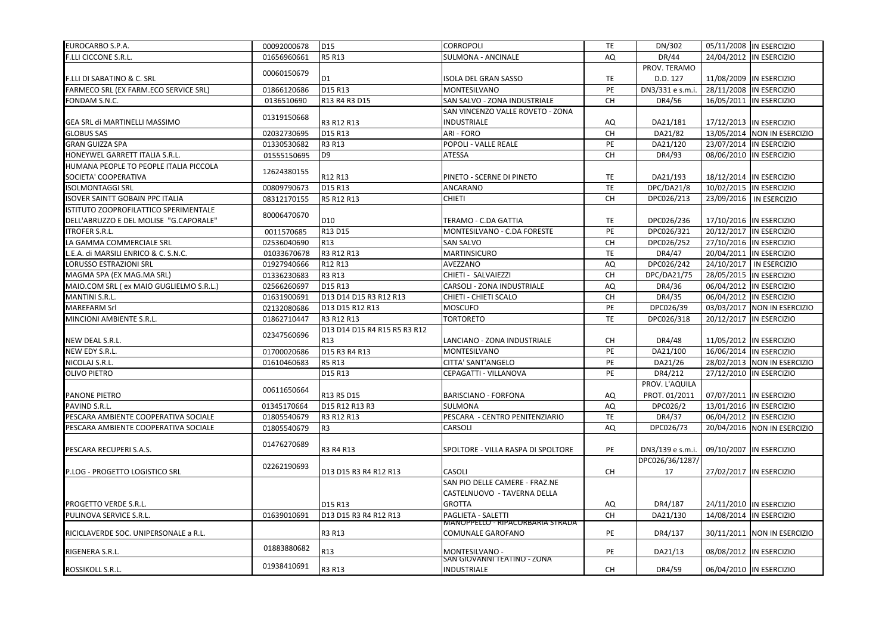| EUROCARBO S.P.A.                        | 00092000678 | D <sub>15</sub>                                               | <b>CORROPOLI</b>                              | TE        | DN/302           |            | 05/11/2008 IN ESERCIZIO       |
|-----------------------------------------|-------------|---------------------------------------------------------------|-----------------------------------------------|-----------|------------------|------------|-------------------------------|
| <b>F.LLI CICCONE S.R.L.</b>             | 01656960661 | <b>R5 R13</b>                                                 | <b>SULMONA - ANCINALE</b>                     | AQ        | DR/44            |            | 24/04/2012 IN ESERCIZIO       |
|                                         | 00060150679 |                                                               |                                               |           | PROV. TERAMO     |            |                               |
| <b>F.LLI DI SABATINO &amp; C. SRL</b>   |             | D <sub>1</sub>                                                | <b>ISOLA DEL GRAN SASSO</b>                   | TE        | D.D. 127         |            | 11/08/2009 IN ESERCIZIO       |
| FARMECO SRL (EX FARM.ECO SERVICE SRL)   | 01866120686 | D15 R13                                                       | <b>MONTESILVANO</b>                           | PE        | DN3/331 e s.m.i. |            | 28/11/2008 IN ESERCIZIO       |
| FONDAM S.N.C.                           | 0136510690  | R13 R4 R3 D15                                                 | SAN SALVO - ZONA INDUSTRIALE                  | <b>CH</b> | DR4/56           |            | 16/05/2011  IN ESERCIZIO      |
|                                         | 01319150668 |                                                               | SAN VINCENZO VALLE ROVETO - ZONA              |           |                  |            |                               |
| <b>GEA SRL di MARTINELLI MASSIMO</b>    |             | R3 R12 R13                                                    | <b>INDUSTRIALE</b>                            | AQ        | DA21/181         |            | 17/12/2013  IN ESERCIZIO      |
| <b>GLOBUS SAS</b>                       | 02032730695 | D15 R13                                                       | <b>ARI - FORO</b>                             | CH        | DA21/82          |            | 13/05/2014 NON IN ESERCIZIO   |
| <b>GRAN GUIZZA SPA</b>                  | 01330530682 | R3 R13                                                        | POPOLI - VALLE REALE                          | PE        | DA21/120         |            | 23/07/2014 IN ESERCIZIO       |
| HONEYWEL GARRETT ITALIA S.R.L.          | 01555150695 | D <sub>9</sub>                                                | <b>ATESSA</b>                                 | CH        | DR4/93           |            | 08/06/2010 IN ESERCIZIO       |
| HUMANA PEOPLE TO PEOPLE ITALIA PICCOLA  | 12624380155 |                                                               |                                               |           |                  |            |                               |
| SOCIETA' COOPERATIVA                    |             | R12 R13                                                       | PINETO - SCERNE DI PINETO                     | TE        | DA21/193         |            | 18/12/2014  IN ESERCIZIO      |
| <b>ISOLMONTAGGI SRL</b>                 | 00809790673 | D15 R13                                                       | <b>ANCARANO</b>                               | TE        | DPC/DA21/8       |            | 10/02/2015  IN ESERCIZIO      |
| <b>ISOVER SAINTT GOBAIN PPC ITALIA</b>  | 08312170155 | R5 R12 R13                                                    | <b>CHIETI</b>                                 | <b>CH</b> | DPC026/213       |            | 23/09/2016   IN ESERCIZIO     |
| ISTITUTO ZOOPROFILATTICO SPERIMENTALE   |             |                                                               |                                               |           |                  |            |                               |
| DELL'ABRUZZO E DEL MOLISE "G.CAPORALE"  | 80006470670 | D <sub>10</sub>                                               | TERAMO - C.DA GATTIA                          | TE        | DPC026/236       |            | 17/10/2016 IN ESERCIZIO       |
| <b>ITROFER S.R.L.</b>                   | 0011570685  | R13 D15                                                       | MONTESILVANO - C.DA FORESTE                   | PE        | DPC026/321       |            | 20/12/2017  IN ESERCIZIO      |
| LA GAMMA COMMERCIALE SRL                | 02536040690 | R <sub>13</sub>                                               | <b>SAN SALVO</b>                              | CH        | DPC026/252       |            | 27/10/2016 IN ESERCIZIO       |
| E.A. di MARSILI ENRICO & C. S.N.C.      | 01033670678 | R3 R12 R13                                                    | <b>MARTINSICURO</b>                           | <b>TE</b> | DR4/47           |            | 20/04/2011  IN ESERCIZIO      |
| <b>LORUSSO ESTRAZIONI SRL</b>           | 01927940666 | R12 R13                                                       | AVEZZANO                                      | AQ        | DPC026/242       |            | 24/10/2017   IN ESERCIZIO     |
| MAGMA SPA (EX MAG.MA SRL)               | 01336230683 | R3 R13                                                        | CHIETI - SALVAIEZZI                           | <b>CH</b> | DPC/DA21/75      |            | 28/05/2015  IN ESERCIZIO      |
| MAIO.COM SRL (ex MAIO GUGLIELMO S.R.L.) | 02566260697 | D15 R13                                                       | <b>CARSOLI - ZONA INDUSTRIALE</b>             | AQ        | DR4/36           |            | 06/04/2012 IN ESERCIZIO       |
| <b>MANTINI S.R.L.</b>                   | 01631900691 | D13 D14 D15 R3 R12 R13                                        | CHIETI - CHIETI SCALO                         | CH        | DR4/35           |            | 06/04/2012 IN ESERCIZIO       |
| <b>MAREFARM Srl</b>                     | 02132080686 | D13 D15 R12 R13                                               | <b>MOSCUFO</b>                                | PE        | DPC026/39        |            | 03/03/2017   NON IN ESERCIZIO |
| MINCIONI AMBIENTE S.R.L.                | 01862710447 | R3 R12 R13                                                    | <b>TORTORETO</b>                              | <b>TE</b> | DPC026/318       |            | 20/12/2017 IN ESERCIZIO       |
|                                         |             | D13 D14 D15 R4 R15 R5 R3 R12                                  |                                               |           |                  |            |                               |
| NEW DEAL S.R.L.                         | 02347560696 | R13                                                           | LANCIANO - ZONA INDUSTRIALE                   | CH        | DR4/48           |            | 11/05/2012 IN ESERCIZIO       |
| NEW EDY S.R.L.                          | 01700020686 | D <sub>15</sub> R <sub>3</sub> R <sub>4</sub> R <sub>13</sub> | <b>MONTESILVANO</b>                           | PE        | DA21/100         |            | 16/06/2014  IN ESERCIZIO      |
| NICOLAJ S.R.L.                          | 01610460683 | <b>R5 R13</b>                                                 | CITTA' SANT'ANGELO                            | PE        | DA21/26          |            | 28/02/2013 NON IN ESERCIZIO   |
| <b>OLIVO PIETRO</b>                     |             | D15 R13                                                       | CEPAGATTI - VILLANOVA                         | PE        | DR4/212          |            | 27/12/2010 IN ESERCIZIO       |
|                                         |             |                                                               |                                               |           | PROV. L'AQUILA   |            |                               |
| <b>PANONE PIETRO</b>                    | 00611650664 | R13 R5 D15                                                    | <b>BARISCIANO - FORFONA</b>                   | AQ        | PROT. 01/2011    |            | 07/07/2011  IN ESERCIZIO      |
| PAVIND S.R.L.                           | 01345170664 | D15 R12 R13 R3                                                | <b>SULMONA</b>                                | AQ        | DPC026/2         |            | 13/01/2016 IN ESERCIZIO       |
| PESCARA AMBIENTE COOPERATIVA SOCIALE    | 01805540679 | R3 R12 R13                                                    | PESCARA - CENTRO PENITENZIARIO                | <b>TE</b> | DR4/37           |            | 06/04/2012 IN ESERCIZIO       |
| PESCARA AMBIENTE COOPERATIVA SOCIALE    | 01805540679 | R <sub>3</sub>                                                | <b>CARSOLI</b>                                | AQ        | DPC026/73        |            | 20/04/2016 NON IN ESERCIZIO   |
|                                         |             |                                                               |                                               |           |                  |            |                               |
| PESCARA RECUPERI S.A.S.                 | 01476270689 | R3 R4 R13                                                     | ISPOLTORE - VILLA RASPA DI SPOLTORE           | PE        | DN3/139 e s.m.i. |            | 09/10/2007 IN ESERCIZIO       |
|                                         |             |                                                               |                                               |           | DPC026/36/1287/  |            |                               |
| P.LOG - PROGETTO LOGISTICO SRL          | 02262190693 | D13 D15 R3 R4 R12 R13                                         | <b>CASOLI</b>                                 | <b>CH</b> | 17               |            | 27/02/2017  IN ESERCIZIO      |
|                                         |             |                                                               | SAN PIO DELLE CAMERE - FRAZ.NE                |           |                  |            |                               |
|                                         |             |                                                               | CASTELNUOVO - TAVERNA DELLA                   |           |                  |            |                               |
| <b>PROGETTO VERDE S.R.L.</b>            |             | D15 R13                                                       | <b>GROTTA</b>                                 | AQ        | DR4/187          |            | 24/11/2010 IN ESERCIZIO       |
| PULINOVA SERVICE S.R.L.                 | 01639010691 | D13 D15 R3 R4 R12 R13                                         | PAGLIETA - SALETTI                            | <b>CH</b> | DA21/130         | 14/08/2014 | <b>IN ESERCIZIO</b>           |
|                                         |             |                                                               | MANOPPELLO - RIPACORBARIA STRADA              |           |                  |            |                               |
| RICICLAVERDE SOC. UNIPERSONALE a R.L.   |             | R3 R13                                                        | <b>COMUNALE GAROFANO</b>                      | PE        | DR4/137          |            | 30/11/2011   NON IN ESERCIZIO |
|                                         | 01883880682 |                                                               |                                               |           |                  |            |                               |
| RIGENERA S.R.L.                         |             | R13                                                           | MONTESILVANO -<br>SAN GIUVANNI TEATINO - ZUNA | PE        | DA21/13          |            | 08/08/2012 IN ESERCIZIO       |
| ROSSIKOLL S.R.L.                        | 01938410691 | <b>R3 R13</b>                                                 | <b>INDUSTRIALE</b>                            | <b>CH</b> | DR4/59           |            | 06/04/2010 IN ESERCIZIO       |
|                                         |             |                                                               |                                               |           |                  |            |                               |